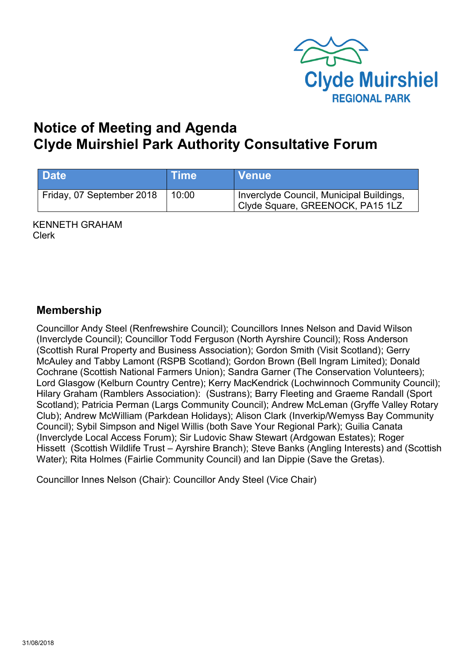

# **Notice of Meeting and Agenda Clyde Muirshiel Park Authority Consultative Forum**

| <b>Date</b>               | $\blacksquare$ Time | <b>Venue</b>                                                                 |
|---------------------------|---------------------|------------------------------------------------------------------------------|
| Friday, 07 September 2018 | 10:00               | Inverclyde Council, Municipal Buildings,<br>Clyde Square, GREENOCK, PA15 1LZ |

KENNETH GRAHAM Clerk

# **Membership**

Councillor Andy Steel (Renfrewshire Council); Councillors Innes Nelson and David Wilson (Inverclyde Council); Councillor Todd Ferguson (North Ayrshire Council); Ross Anderson (Scottish Rural Property and Business Association); Gordon Smith (Visit Scotland); Gerry McAuley and Tabby Lamont (RSPB Scotland); Gordon Brown (Bell Ingram Limited); Donald Cochrane (Scottish National Farmers Union); Sandra Garner (The Conservation Volunteers); Lord Glasgow (Kelburn Country Centre); Kerry MacKendrick (Lochwinnoch Community Council); Hilary Graham (Ramblers Association): (Sustrans); Barry Fleeting and Graeme Randall (Sport Scotland); Patricia Perman (Largs Community Council); Andrew McLeman (Gryffe Valley Rotary Club); Andrew McWilliam (Parkdean Holidays); Alison Clark (Inverkip/Wemyss Bay Community Council); Sybil Simpson and Nigel Willis (both Save Your Regional Park); Guilia Canata (Inverclyde Local Access Forum); Sir Ludovic Shaw Stewart (Ardgowan Estates); Roger Hissett (Scottish Wildlife Trust – Ayrshire Branch); Steve Banks (Angling Interests) and (Scottish Water); Rita Holmes (Fairlie Community Council) and Ian Dippie (Save the Gretas).

Councillor Innes Nelson (Chair): Councillor Andy Steel (Vice Chair)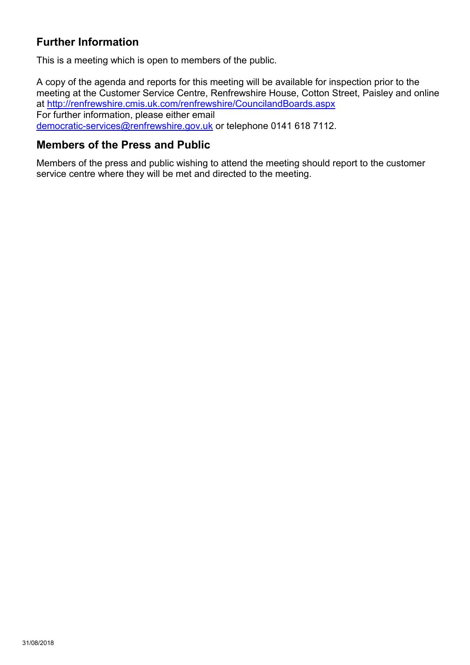# **Further Information**

This is a meeting which is open to members of the public.

A copy of the agenda and reports for this meeting will be available for inspection prior to the meeting at the Customer Service Centre, Renfrewshire House, Cotton Street, Paisley and online at <http://renfrewshire.cmis.uk.com/renfrewshire/CouncilandBoards.aspx> For further information, please either email [democratic-services@renfrewshire.gov.uk](mailto:democratic-services@renfrewshire.gov.uk) or telephone 0141 618 7112.

# **Members of the Press and Public**

Members of the press and public wishing to attend the meeting should report to the customer service centre where they will be met and directed to the meeting.